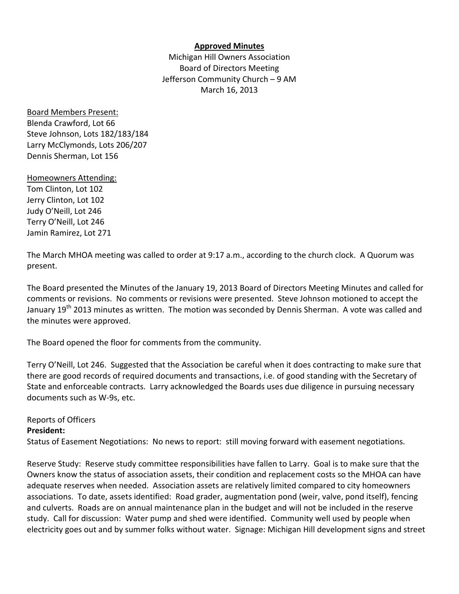#### **Approved Minutes**

Michigan Hill Owners Association Board of Directors Meeting Jefferson Community Church – 9 AM March 16, 2013

Board Members Present: Blenda Crawford, Lot 66 Steve Johnson, Lots 182/183/184 Larry McClymonds, Lots 206/207 Dennis Sherman, Lot 156

Homeowners Attending: Tom Clinton, Lot 102 Jerry Clinton, Lot 102 Judy O'Neill, Lot 246 Terry O'Neill, Lot 246 Jamin Ramirez, Lot 271

The March MHOA meeting was called to order at 9:17 a.m., according to the church clock. A Quorum was present.

The Board presented the Minutes of the January 19, 2013 Board of Directors Meeting Minutes and called for comments or revisions. No comments or revisions were presented. Steve Johnson motioned to accept the January 19<sup>th</sup> 2013 minutes as written. The motion was seconded by Dennis Sherman. A vote was called and the minutes were approved.

The Board opened the floor for comments from the community.

Terry O'Neill, Lot 246. Suggested that the Association be careful when it does contracting to make sure that there are good records of required documents and transactions, i.e. of good standing with the Secretary of State and enforceable contracts. Larry acknowledged the Boards uses due diligence in pursuing necessary documents such as W‐9s, etc.

### Reports of Officers

### **President:**

Status of Easement Negotiations: No news to report: still moving forward with easement negotiations.

Reserve Study: Reserve study committee responsibilities have fallen to Larry. Goal is to make sure that the Owners know the status of association assets, their condition and replacement costs so the MHOA can have adequate reserves when needed. Association assets are relatively limited compared to city homeowners associations. To date, assets identified: Road grader, augmentation pond (weir, valve, pond itself), fencing and culverts. Roads are on annual maintenance plan in the budget and will not be included in the reserve study. Call for discussion: Water pump and shed were identified. Community well used by people when electricity goes out and by summer folks without water. Signage: Michigan Hill development signs and street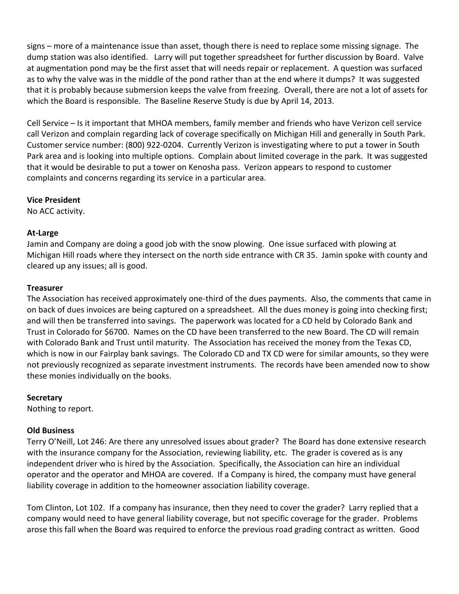signs – more of a maintenance issue than asset, though there is need to replace some missing signage. The dump station was also identified. Larry will put together spreadsheet for further discussion by Board. Valve at augmentation pond may be the first asset that will needs repair or replacement. A question was surfaced as to why the valve was in the middle of the pond rather than at the end where it dumps? It was suggested that it is probably because submersion keeps the valve from freezing. Overall, there are not a lot of assets for which the Board is responsible. The Baseline Reserve Study is due by April 14, 2013.

Cell Service – Is it important that MHOA members, family member and friends who have Verizon cell service call Verizon and complain regarding lack of coverage specifically on Michigan Hill and generally in South Park. Customer service number: (800) 922‐0204. Currently Verizon is investigating where to put a tower in South Park area and is looking into multiple options. Complain about limited coverage in the park. It was suggested that it would be desirable to put a tower on Kenosha pass. Verizon appears to respond to customer complaints and concerns regarding its service in a particular area.

### **Vice President**

No ACC activity.

## **At‐Large**

Jamin and Company are doing a good job with the snow plowing. One issue surfaced with plowing at Michigan Hill roads where they intersect on the north side entrance with CR 35. Jamin spoke with county and cleared up any issues; all is good.

## **Treasurer**

The Association has received approximately one‐third of the dues payments. Also, the comments that came in on back of dues invoices are being captured on a spreadsheet. All the dues money is going into checking first; and will then be transferred into savings. The paperwork was located for a CD held by Colorado Bank and Trust in Colorado for \$6700. Names on the CD have been transferred to the new Board. The CD will remain with Colorado Bank and Trust until maturity. The Association has received the money from the Texas CD, which is now in our Fairplay bank savings. The Colorado CD and TX CD were for similar amounts, so they were not previously recognized as separate investment instruments. The records have been amended now to show these monies individually on the books.

# **Secretary**

Nothing to report.

# **Old Business**

Terry O'Neill, Lot 246: Are there any unresolved issues about grader? The Board has done extensive research with the insurance company for the Association, reviewing liability, etc. The grader is covered as is any independent driver who is hired by the Association. Specifically, the Association can hire an individual operator and the operator and MHOA are covered. If a Company is hired, the company must have general liability coverage in addition to the homeowner association liability coverage.

Tom Clinton, Lot 102. If a company has insurance, then they need to cover the grader? Larry replied that a company would need to have general liability coverage, but not specific coverage for the grader. Problems arose this fall when the Board was required to enforce the previous road grading contract as written. Good